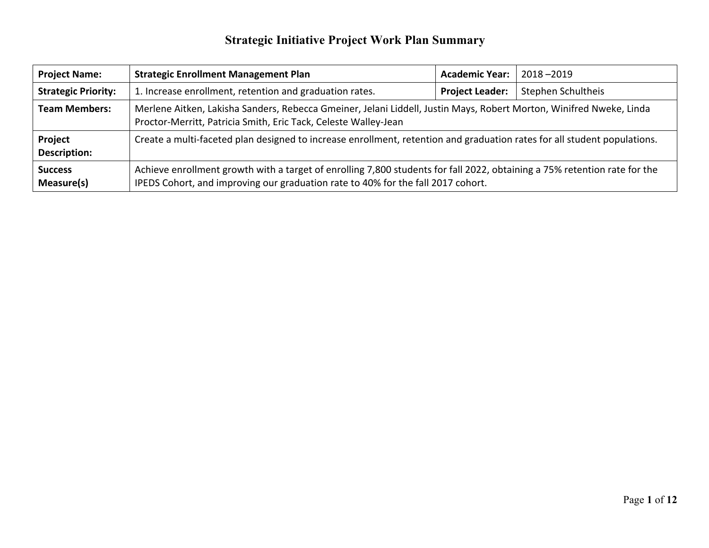| <b>Project Name:</b>           | <b>Strategic Enrollment Management Plan</b>                                                                                                                                                                   | <b>Academic Year:</b>  | $2018 - 2019$      |  |  |
|--------------------------------|---------------------------------------------------------------------------------------------------------------------------------------------------------------------------------------------------------------|------------------------|--------------------|--|--|
| <b>Strategic Priority:</b>     | 1. Increase enrollment, retention and graduation rates.                                                                                                                                                       | <b>Project Leader:</b> | Stephen Schultheis |  |  |
| <b>Team Members:</b>           | Merlene Aitken, Lakisha Sanders, Rebecca Gmeiner, Jelani Liddell, Justin Mays, Robert Morton, Winifred Nweke, Linda<br>Proctor-Merritt, Patricia Smith, Eric Tack, Celeste Walley-Jean                        |                        |                    |  |  |
| Project<br><b>Description:</b> | Create a multi-faceted plan designed to increase enrollment, retention and graduation rates for all student populations.                                                                                      |                        |                    |  |  |
| <b>Success</b><br>Measure(s)   | Achieve enrollment growth with a target of enrolling 7,800 students for fall 2022, obtaining a 75% retention rate for the<br>IPEDS Cohort, and improving our graduation rate to 40% for the fall 2017 cohort. |                        |                    |  |  |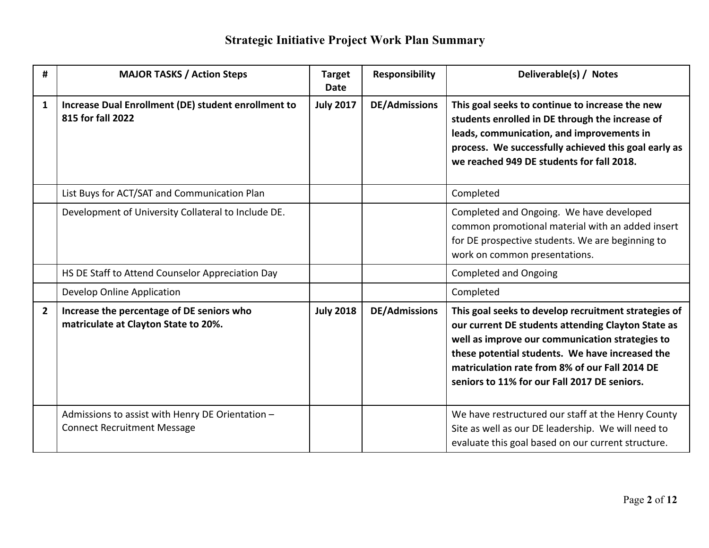| #              | <b>MAJOR TASKS / Action Steps</b>                                                      | <b>Target</b><br>Date | <b>Responsibility</b> | Deliverable(s) / Notes                                                                                                                                                                                                                                                                                             |
|----------------|----------------------------------------------------------------------------------------|-----------------------|-----------------------|--------------------------------------------------------------------------------------------------------------------------------------------------------------------------------------------------------------------------------------------------------------------------------------------------------------------|
| $\mathbf{1}$   | Increase Dual Enrollment (DE) student enrollment to<br>815 for fall 2022               | <b>July 2017</b>      | <b>DE/Admissions</b>  | This goal seeks to continue to increase the new<br>students enrolled in DE through the increase of<br>leads, communication, and improvements in<br>process. We successfully achieved this goal early as<br>we reached 949 DE students for fall 2018.                                                               |
|                | List Buys for ACT/SAT and Communication Plan                                           |                       |                       | Completed                                                                                                                                                                                                                                                                                                          |
|                | Development of University Collateral to Include DE.                                    |                       |                       | Completed and Ongoing. We have developed<br>common promotional material with an added insert<br>for DE prospective students. We are beginning to<br>work on common presentations.                                                                                                                                  |
|                | HS DE Staff to Attend Counselor Appreciation Day                                       |                       |                       | <b>Completed and Ongoing</b>                                                                                                                                                                                                                                                                                       |
|                | Develop Online Application                                                             |                       |                       | Completed                                                                                                                                                                                                                                                                                                          |
| $\overline{2}$ | Increase the percentage of DE seniors who<br>matriculate at Clayton State to 20%.      | <b>July 2018</b>      | <b>DE/Admissions</b>  | This goal seeks to develop recruitment strategies of<br>our current DE students attending Clayton State as<br>well as improve our communication strategies to<br>these potential students. We have increased the<br>matriculation rate from 8% of our Fall 2014 DE<br>seniors to 11% for our Fall 2017 DE seniors. |
|                | Admissions to assist with Henry DE Orientation -<br><b>Connect Recruitment Message</b> |                       |                       | We have restructured our staff at the Henry County<br>Site as well as our DE leadership. We will need to<br>evaluate this goal based on our current structure.                                                                                                                                                     |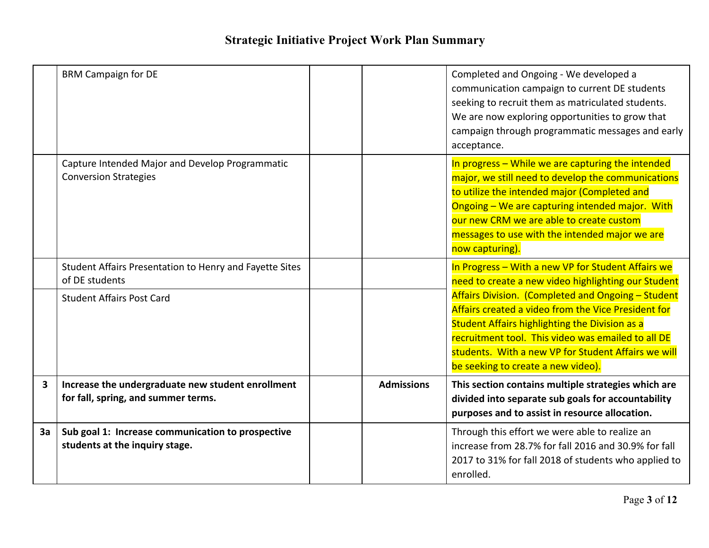|    | <b>BRM Campaign for DE</b>                                                               |                   | Completed and Ongoing - We developed a<br>communication campaign to current DE students<br>seeking to recruit them as matriculated students.<br>We are now exploring opportunities to grow that<br>campaign through programmatic messages and early<br>acceptance.                                                          |
|----|------------------------------------------------------------------------------------------|-------------------|-----------------------------------------------------------------------------------------------------------------------------------------------------------------------------------------------------------------------------------------------------------------------------------------------------------------------------|
|    | Capture Intended Major and Develop Programmatic<br><b>Conversion Strategies</b>          |                   | In progress - While we are capturing the intended<br>major, we still need to develop the communications<br>to utilize the intended major (Completed and<br>Ongoing - We are capturing intended major. With<br>our new CRM we are able to create custom<br>messages to use with the intended major we are<br>now capturing). |
|    | Student Affairs Presentation to Henry and Fayette Sites<br>of DE students                |                   | In Progress - With a new VP for Student Affairs we<br>need to create a new video highlighting our Student                                                                                                                                                                                                                   |
|    | <b>Student Affairs Post Card</b>                                                         |                   | Affairs Division. (Completed and Ongoing - Student<br>Affairs created a video from the Vice President for<br><b>Student Affairs highlighting the Division as a</b><br>recruitment tool. This video was emailed to all DE<br>students. With a new VP for Student Affairs we will<br>be seeking to create a new video).       |
| 3  | Increase the undergraduate new student enrollment<br>for fall, spring, and summer terms. | <b>Admissions</b> | This section contains multiple strategies which are<br>divided into separate sub goals for accountability<br>purposes and to assist in resource allocation.                                                                                                                                                                 |
| 3a | Sub goal 1: Increase communication to prospective<br>students at the inquiry stage.      |                   | Through this effort we were able to realize an<br>increase from 28.7% for fall 2016 and 30.9% for fall<br>2017 to 31% for fall 2018 of students who applied to<br>enrolled.                                                                                                                                                 |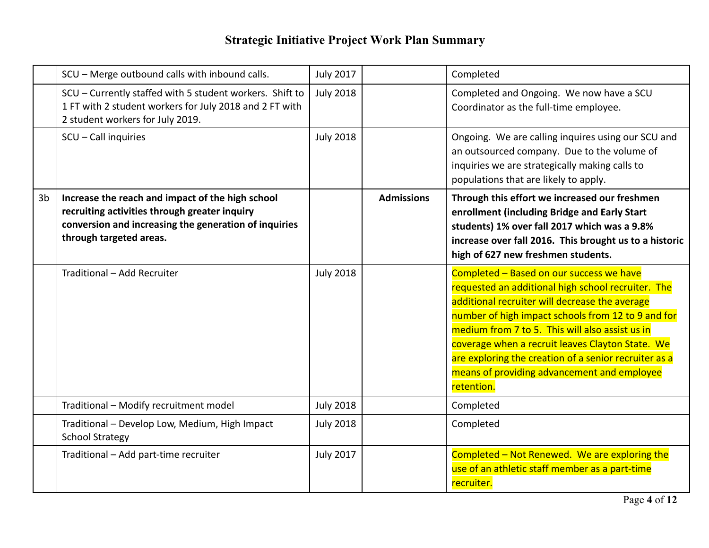|                | SCU - Merge outbound calls with inbound calls.                                                                                                                                        | <b>July 2017</b> |                   | Completed                                                                                                                                                                                                                                                                                                                                                                                                                           |
|----------------|---------------------------------------------------------------------------------------------------------------------------------------------------------------------------------------|------------------|-------------------|-------------------------------------------------------------------------------------------------------------------------------------------------------------------------------------------------------------------------------------------------------------------------------------------------------------------------------------------------------------------------------------------------------------------------------------|
|                | SCU - Currently staffed with 5 student workers. Shift to<br>1 FT with 2 student workers for July 2018 and 2 FT with<br>2 student workers for July 2019.                               | <b>July 2018</b> |                   | Completed and Ongoing. We now have a SCU<br>Coordinator as the full-time employee.                                                                                                                                                                                                                                                                                                                                                  |
|                | SCU - Call inquiries                                                                                                                                                                  | <b>July 2018</b> |                   | Ongoing. We are calling inquires using our SCU and<br>an outsourced company. Due to the volume of<br>inquiries we are strategically making calls to<br>populations that are likely to apply.                                                                                                                                                                                                                                        |
| 3 <sub>b</sub> | Increase the reach and impact of the high school<br>recruiting activities through greater inquiry<br>conversion and increasing the generation of inquiries<br>through targeted areas. |                  | <b>Admissions</b> | Through this effort we increased our freshmen<br>enrollment (including Bridge and Early Start<br>students) 1% over fall 2017 which was a 9.8%<br>increase over fall 2016. This brought us to a historic<br>high of 627 new freshmen students.                                                                                                                                                                                       |
|                | Traditional - Add Recruiter                                                                                                                                                           | <b>July 2018</b> |                   | Completed - Based on our success we have<br>requested an additional high school recruiter. The<br>additional recruiter will decrease the average<br>number of high impact schools from 12 to 9 and for<br>medium from 7 to 5. This will also assist us in<br>coverage when a recruit leaves Clayton State. We<br>are exploring the creation of a senior recruiter as a<br>means of providing advancement and employee<br>retention. |
|                | Traditional - Modify recruitment model                                                                                                                                                | <b>July 2018</b> |                   | Completed                                                                                                                                                                                                                                                                                                                                                                                                                           |
|                | Traditional - Develop Low, Medium, High Impact<br><b>School Strategy</b>                                                                                                              | <b>July 2018</b> |                   | Completed                                                                                                                                                                                                                                                                                                                                                                                                                           |
|                | Traditional - Add part-time recruiter                                                                                                                                                 | <b>July 2017</b> |                   | Completed - Not Renewed. We are exploring the<br>use of an athletic staff member as a part-time<br>recruiter.                                                                                                                                                                                                                                                                                                                       |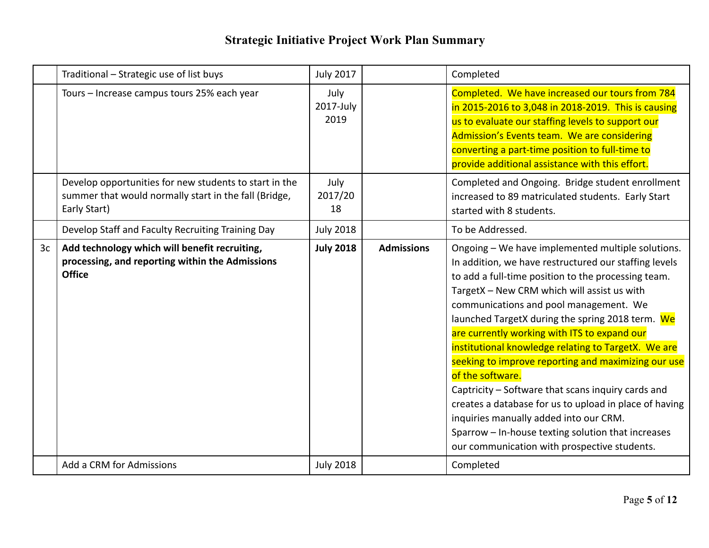|                | Traditional - Strategic use of list buys                                                                                        | <b>July 2017</b>          |                   | Completed                                                                                                                                                                                                                                                                                                                                                                                                                                                                                                                                                                                                                                                                                                                                                        |
|----------------|---------------------------------------------------------------------------------------------------------------------------------|---------------------------|-------------------|------------------------------------------------------------------------------------------------------------------------------------------------------------------------------------------------------------------------------------------------------------------------------------------------------------------------------------------------------------------------------------------------------------------------------------------------------------------------------------------------------------------------------------------------------------------------------------------------------------------------------------------------------------------------------------------------------------------------------------------------------------------|
|                | Tours - Increase campus tours 25% each year                                                                                     | July<br>2017-July<br>2019 |                   | Completed. We have increased our tours from 784<br>in 2015-2016 to 3,048 in 2018-2019. This is causing<br>us to evaluate our staffing levels to support our<br>Admission's Events team. We are considering<br>converting a part-time position to full-time to<br>provide additional assistance with this effort.                                                                                                                                                                                                                                                                                                                                                                                                                                                 |
|                | Develop opportunities for new students to start in the<br>summer that would normally start in the fall (Bridge,<br>Early Start) | July<br>2017/20<br>18     |                   | Completed and Ongoing. Bridge student enrollment<br>increased to 89 matriculated students. Early Start<br>started with 8 students.                                                                                                                                                                                                                                                                                                                                                                                                                                                                                                                                                                                                                               |
|                | Develop Staff and Faculty Recruiting Training Day                                                                               | <b>July 2018</b>          |                   | To be Addressed.                                                                                                                                                                                                                                                                                                                                                                                                                                                                                                                                                                                                                                                                                                                                                 |
| 3 <sub>c</sub> | Add technology which will benefit recruiting,<br>processing, and reporting within the Admissions<br><b>Office</b>               | <b>July 2018</b>          | <b>Admissions</b> | Ongoing - We have implemented multiple solutions.<br>In addition, we have restructured our staffing levels<br>to add a full-time position to the processing team.<br>TargetX - New CRM which will assist us with<br>communications and pool management. We<br>launched TargetX during the spring 2018 term. We<br>are currently working with ITS to expand our<br>institutional knowledge relating to TargetX. We are<br>seeking to improve reporting and maximizing our use<br>of the software.<br>Captricity - Software that scans inquiry cards and<br>creates a database for us to upload in place of having<br>inquiries manually added into our CRM.<br>Sparrow - In-house texting solution that increases<br>our communication with prospective students. |
|                | Add a CRM for Admissions                                                                                                        | <b>July 2018</b>          |                   | Completed                                                                                                                                                                                                                                                                                                                                                                                                                                                                                                                                                                                                                                                                                                                                                        |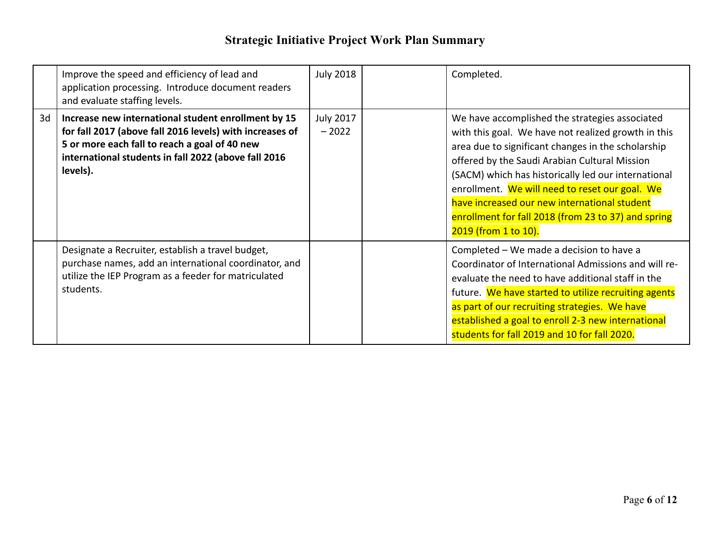|    | Improve the speed and efficiency of lead and<br>application processing. Introduce document readers<br>and evaluate staffing levels.                                                                                                  | <b>July 2018</b>            | Completed.                                                                                                                                                                                                                                                                                                                                                                                                                                           |
|----|--------------------------------------------------------------------------------------------------------------------------------------------------------------------------------------------------------------------------------------|-----------------------------|------------------------------------------------------------------------------------------------------------------------------------------------------------------------------------------------------------------------------------------------------------------------------------------------------------------------------------------------------------------------------------------------------------------------------------------------------|
| 3d | Increase new international student enrollment by 15<br>for fall 2017 (above fall 2016 levels) with increases of<br>5 or more each fall to reach a goal of 40 new<br>international students in fall 2022 (above fall 2016<br>levels). | <b>July 2017</b><br>$-2022$ | We have accomplished the strategies associated<br>with this goal. We have not realized growth in this<br>area due to significant changes in the scholarship<br>offered by the Saudi Arabian Cultural Mission<br>(SACM) which has historically led our international<br>enrollment. We will need to reset our goal. We<br>have increased our new international student<br>enrollment for fall 2018 (from 23 to 37) and spring<br>2019 (from 1 to 10). |
|    | Designate a Recruiter, establish a travel budget,<br>purchase names, add an international coordinator, and<br>utilize the IEP Program as a feeder for matriculated<br>students.                                                      |                             | Completed - We made a decision to have a<br>Coordinator of International Admissions and will re-<br>evaluate the need to have additional staff in the<br>future. We have started to utilize recruiting agents<br>as part of our recruiting strategies. We have<br>established a goal to enroll 2-3 new international<br>students for fall 2019 and 10 for fall 2020.                                                                                 |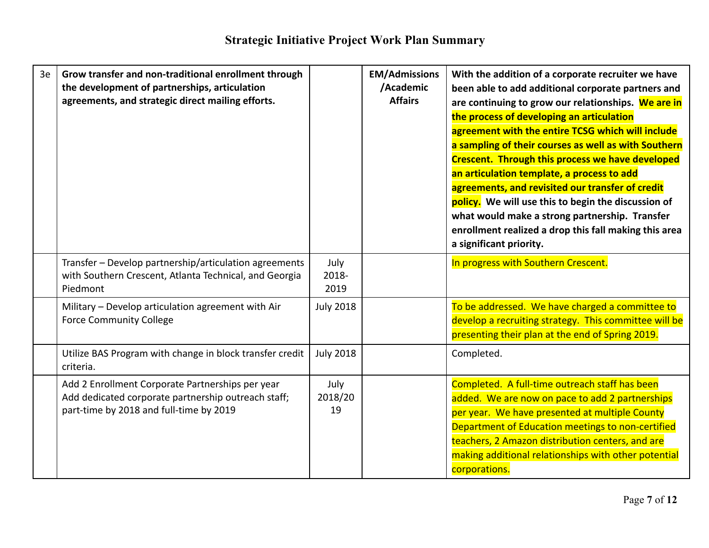| 3e | Grow transfer and non-traditional enrollment through<br>the development of partnerships, articulation<br>agreements, and strategic direct mailing efforts. |                       | <b>EM/Admissions</b><br>/Academic<br><b>Affairs</b> | With the addition of a corporate recruiter we have<br>been able to add additional corporate partners and<br>are continuing to grow our relationships. We are in<br>the process of developing an articulation<br>agreement with the entire TCSG which will include<br>a sampling of their courses as well as with Southern<br><b>Crescent. Through this process we have developed</b><br>an articulation template, a process to add<br>agreements, and revisited our transfer of credit<br>policy. We will use this to begin the discussion of<br>what would make a strong partnership. Transfer<br>enrollment realized a drop this fall making this area<br>a significant priority. |
|----|------------------------------------------------------------------------------------------------------------------------------------------------------------|-----------------------|-----------------------------------------------------|-------------------------------------------------------------------------------------------------------------------------------------------------------------------------------------------------------------------------------------------------------------------------------------------------------------------------------------------------------------------------------------------------------------------------------------------------------------------------------------------------------------------------------------------------------------------------------------------------------------------------------------------------------------------------------------|
|    | Transfer - Develop partnership/articulation agreements<br>with Southern Crescent, Atlanta Technical, and Georgia<br>Piedmont                               | July<br>2018-<br>2019 |                                                     | In progress with Southern Crescent.                                                                                                                                                                                                                                                                                                                                                                                                                                                                                                                                                                                                                                                 |
|    | Military - Develop articulation agreement with Air<br><b>Force Community College</b>                                                                       | <b>July 2018</b>      |                                                     | To be addressed. We have charged a committee to<br>develop a recruiting strategy. This committee will be<br>presenting their plan at the end of Spring 2019.                                                                                                                                                                                                                                                                                                                                                                                                                                                                                                                        |
|    | Utilize BAS Program with change in block transfer credit<br>criteria.                                                                                      | <b>July 2018</b>      |                                                     | Completed.                                                                                                                                                                                                                                                                                                                                                                                                                                                                                                                                                                                                                                                                          |
|    | Add 2 Enrollment Corporate Partnerships per year<br>Add dedicated corporate partnership outreach staff;<br>part-time by 2018 and full-time by 2019         | July<br>2018/20<br>19 |                                                     | Completed. A full-time outreach staff has been<br>added. We are now on pace to add 2 partnerships<br>per year. We have presented at multiple County<br>Department of Education meetings to non-certified<br>teachers, 2 Amazon distribution centers, and are<br>making additional relationships with other potential<br>corporations.                                                                                                                                                                                                                                                                                                                                               |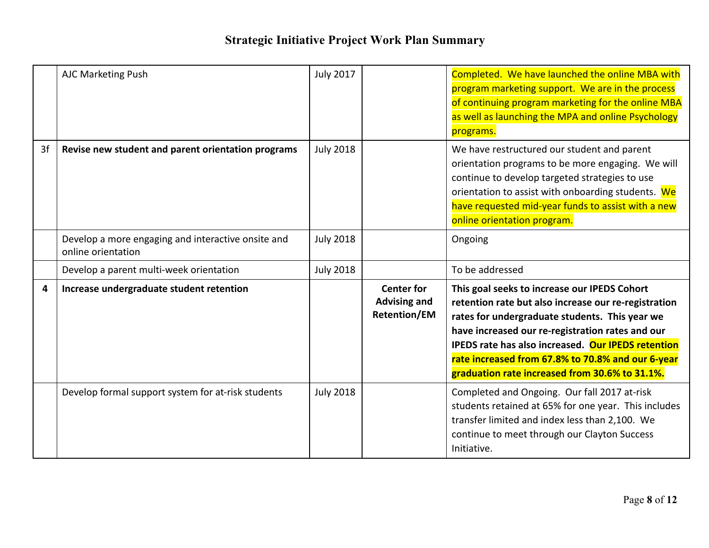|    | AJC Marketing Push                                                       | <b>July 2017</b> |                                                                 | Completed. We have launched the online MBA with<br>program marketing support. We are in the process<br>of continuing program marketing for the online MBA<br>as well as launching the MPA and online Psychology<br>programs.                                                                                                                                                          |
|----|--------------------------------------------------------------------------|------------------|-----------------------------------------------------------------|---------------------------------------------------------------------------------------------------------------------------------------------------------------------------------------------------------------------------------------------------------------------------------------------------------------------------------------------------------------------------------------|
| 3f | Revise new student and parent orientation programs                       | <b>July 2018</b> |                                                                 | We have restructured our student and parent<br>orientation programs to be more engaging. We will<br>continue to develop targeted strategies to use<br>orientation to assist with onboarding students. We<br>have requested mid-year funds to assist with a new<br>online orientation program.                                                                                         |
|    | Develop a more engaging and interactive onsite and<br>online orientation | <b>July 2018</b> |                                                                 | Ongoing                                                                                                                                                                                                                                                                                                                                                                               |
|    | Develop a parent multi-week orientation                                  | <b>July 2018</b> |                                                                 | To be addressed                                                                                                                                                                                                                                                                                                                                                                       |
| 4  | Increase undergraduate student retention                                 |                  | <b>Center for</b><br><b>Advising and</b><br><b>Retention/EM</b> | This goal seeks to increase our IPEDS Cohort<br>retention rate but also increase our re-registration<br>rates for undergraduate students. This year we<br>have increased our re-registration rates and our<br><b>IPEDS</b> rate has also increased. Our <b>IPEDS</b> retention<br>rate increased from 67.8% to 70.8% and our 6-year<br>graduation rate increased from 30.6% to 31.1%. |
|    | Develop formal support system for at-risk students                       | <b>July 2018</b> |                                                                 | Completed and Ongoing. Our fall 2017 at-risk<br>students retained at 65% for one year. This includes<br>transfer limited and index less than 2,100. We<br>continue to meet through our Clayton Success<br>Initiative.                                                                                                                                                                 |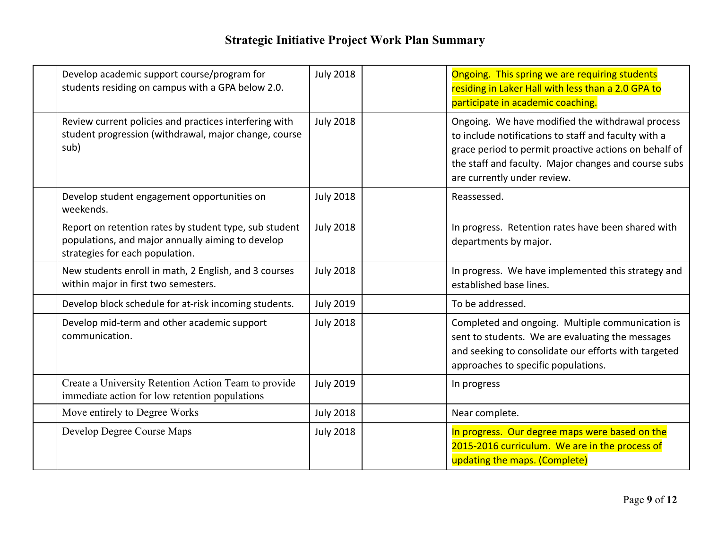| Develop academic support course/program for<br>students residing on campus with a GPA below 2.0.                                               | <b>July 2018</b> | Ongoing. This spring we are requiring students<br>residing in Laker Hall with less than a 2.0 GPA to<br>participate in academic coaching.                                                                                                                |
|------------------------------------------------------------------------------------------------------------------------------------------------|------------------|----------------------------------------------------------------------------------------------------------------------------------------------------------------------------------------------------------------------------------------------------------|
| Review current policies and practices interfering with<br>student progression (withdrawal, major change, course<br>sub)                        | <b>July 2018</b> | Ongoing. We have modified the withdrawal process<br>to include notifications to staff and faculty with a<br>grace period to permit proactive actions on behalf of<br>the staff and faculty. Major changes and course subs<br>are currently under review. |
| Develop student engagement opportunities on<br>weekends.                                                                                       | <b>July 2018</b> | Reassessed.                                                                                                                                                                                                                                              |
| Report on retention rates by student type, sub student<br>populations, and major annually aiming to develop<br>strategies for each population. | <b>July 2018</b> | In progress. Retention rates have been shared with<br>departments by major.                                                                                                                                                                              |
| New students enroll in math, 2 English, and 3 courses<br>within major in first two semesters.                                                  | <b>July 2018</b> | In progress. We have implemented this strategy and<br>established base lines.                                                                                                                                                                            |
| Develop block schedule for at-risk incoming students.                                                                                          | <b>July 2019</b> | To be addressed.                                                                                                                                                                                                                                         |
| Develop mid-term and other academic support<br>communication.                                                                                  | <b>July 2018</b> | Completed and ongoing. Multiple communication is<br>sent to students. We are evaluating the messages<br>and seeking to consolidate our efforts with targeted<br>approaches to specific populations.                                                      |
| Create a University Retention Action Team to provide<br>immediate action for low retention populations                                         | <b>July 2019</b> | In progress                                                                                                                                                                                                                                              |
| Move entirely to Degree Works                                                                                                                  | <b>July 2018</b> | Near complete.                                                                                                                                                                                                                                           |
| Develop Degree Course Maps                                                                                                                     | <b>July 2018</b> | In progress. Our degree maps were based on the<br>2015-2016 curriculum. We are in the process of<br>updating the maps. (Complete)                                                                                                                        |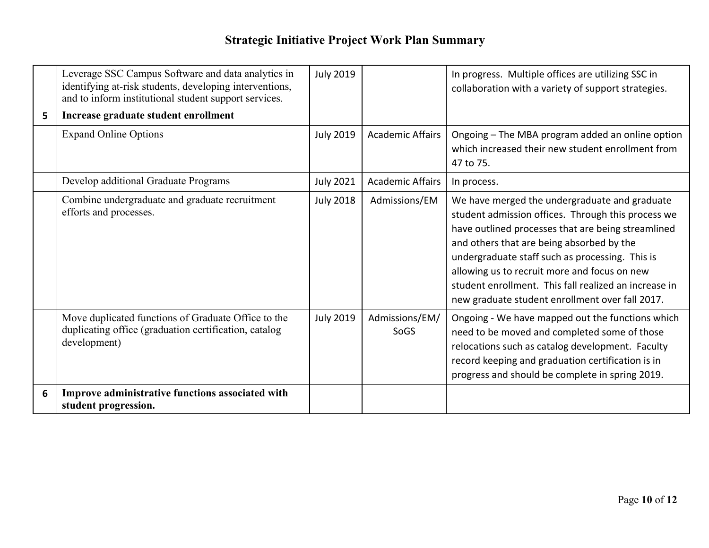|   | Leverage SSC Campus Software and data analytics in<br>identifying at-risk students, developing interventions,<br>and to inform institutional student support services. | <b>July 2019</b> |                         | In progress. Multiple offices are utilizing SSC in<br>collaboration with a variety of support strategies.                                                                                                                                                                                                                                                                                                             |
|---|------------------------------------------------------------------------------------------------------------------------------------------------------------------------|------------------|-------------------------|-----------------------------------------------------------------------------------------------------------------------------------------------------------------------------------------------------------------------------------------------------------------------------------------------------------------------------------------------------------------------------------------------------------------------|
| 5 | Increase graduate student enrollment                                                                                                                                   |                  |                         |                                                                                                                                                                                                                                                                                                                                                                                                                       |
|   | <b>Expand Online Options</b>                                                                                                                                           | <b>July 2019</b> | <b>Academic Affairs</b> | Ongoing - The MBA program added an online option<br>which increased their new student enrollment from<br>47 to 75.                                                                                                                                                                                                                                                                                                    |
|   | Develop additional Graduate Programs                                                                                                                                   | <b>July 2021</b> | <b>Academic Affairs</b> | In process.                                                                                                                                                                                                                                                                                                                                                                                                           |
|   | Combine undergraduate and graduate recruitment<br>efforts and processes.                                                                                               | <b>July 2018</b> | Admissions/EM           | We have merged the undergraduate and graduate<br>student admission offices. Through this process we<br>have outlined processes that are being streamlined<br>and others that are being absorbed by the<br>undergraduate staff such as processing. This is<br>allowing us to recruit more and focus on new<br>student enrollment. This fall realized an increase in<br>new graduate student enrollment over fall 2017. |
|   | Move duplicated functions of Graduate Office to the<br>duplicating office (graduation certification, catalog<br>development)                                           | <b>July 2019</b> | Admissions/EM/<br>SoGS  | Ongoing - We have mapped out the functions which<br>need to be moved and completed some of those<br>relocations such as catalog development. Faculty<br>record keeping and graduation certification is in<br>progress and should be complete in spring 2019.                                                                                                                                                          |
| 6 | Improve administrative functions associated with<br>student progression.                                                                                               |                  |                         |                                                                                                                                                                                                                                                                                                                                                                                                                       |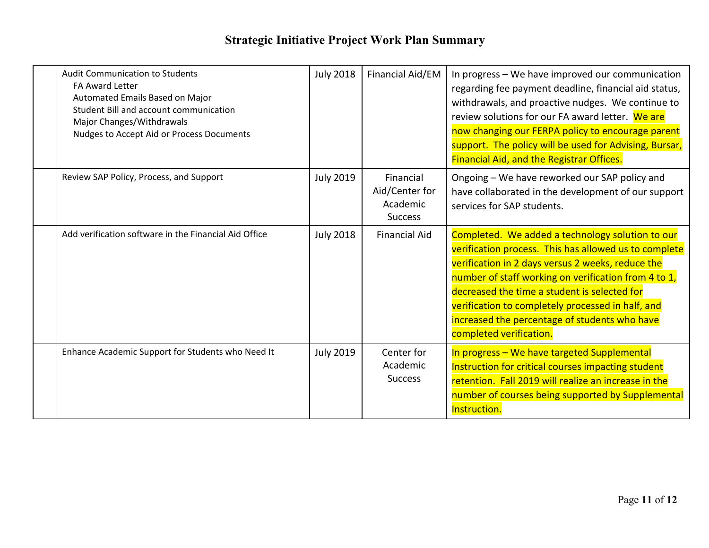| <b>Audit Communication to Students</b><br>FA Award Letter<br>Automated Emails Based on Major<br>Student Bill and account communication<br>Major Changes/Withdrawals<br>Nudges to Accept Aid or Process Documents | <b>July 2018</b> | Financial Aid/EM                                          | In progress - We have improved our communication<br>regarding fee payment deadline, financial aid status,<br>withdrawals, and proactive nudges. We continue to<br>review solutions for our FA award letter. We are<br>now changing our FERPA policy to encourage parent<br>support. The policy will be used for Advising, Bursar,<br><b>Financial Aid, and the Registrar Offices.</b>                   |
|------------------------------------------------------------------------------------------------------------------------------------------------------------------------------------------------------------------|------------------|-----------------------------------------------------------|---------------------------------------------------------------------------------------------------------------------------------------------------------------------------------------------------------------------------------------------------------------------------------------------------------------------------------------------------------------------------------------------------------|
| Review SAP Policy, Process, and Support                                                                                                                                                                          | <b>July 2019</b> | Financial<br>Aid/Center for<br>Academic<br><b>Success</b> | Ongoing - We have reworked our SAP policy and<br>have collaborated in the development of our support<br>services for SAP students.                                                                                                                                                                                                                                                                      |
| Add verification software in the Financial Aid Office                                                                                                                                                            | <b>July 2018</b> | <b>Financial Aid</b>                                      | Completed. We added a technology solution to our<br>verification process. This has allowed us to complete<br>verification in 2 days versus 2 weeks, reduce the<br>number of staff working on verification from 4 to 1,<br>decreased the time a student is selected for<br>verification to completely processed in half, and<br>increased the percentage of students who have<br>completed verification. |
| Enhance Academic Support for Students who Need It                                                                                                                                                                | <b>July 2019</b> | Center for<br>Academic<br><b>Success</b>                  | In progress - We have targeted Supplemental<br>Instruction for critical courses impacting student<br>retention. Fall 2019 will realize an increase in the<br>number of courses being supported by Supplemental<br>Instruction.                                                                                                                                                                          |